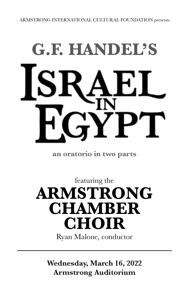# **G.F. HANDEL'S**

**an oratorio in two parts**

featuring the **ARMSTRONG CHAMBER CHOIR** Ryan Malone, conductor

**Wednesday, March 16, 2022 Armstrong Auditorium**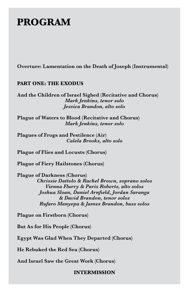# **PROGRAM**

**Overture: Lamentation on the Death of Joseph (Instrumental)**

# **PART ONE: THE EXODUS**

**And the Children of Israel Sighed (Recitative and Chorus)** *Mark Jenkins, tenor solo Jessica Brandon, alto solo*

**Plague of Waters to Blood (Recitative and Chorus)** *Mark Jenkins, tenor solo*

**Plagues of Frogs and Pestilence (Air)** *Calela Brooks, alto solo*

**Plague of Flies and Locusts (Chorus)**

**Plague of Fiery Hailstones (Chorus)**

**Plague of Darkness (Chorus)** *Chrissie Dattolo & Rachel Brown, soprano solos Vienna Flurry & Paris Roberts, alto solos Joshua Sloan, Daniel Arnfield, Jordan Saranga & David Brandon, tenor solos Rufaro Manyepa & James Brandon, bass solos*

**Plague on Firstborn (Chorus)**

**But As for His People (Chorus)**

**Egypt Was Glad When They Departed (Chorus)**

**He Rebuked the Red Sea (Chorus)**

**And Israel Saw the Great Work (Chorus)**

## **INTERMISSION**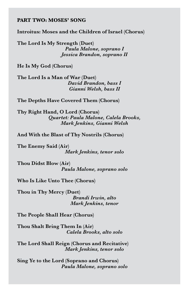### **PART TWO: MOSES' SONG**

**Introitus: Moses and the Children of Israel (Chorus)**

**The Lord Is My Strength (Duet)** *Paula Malone, soprano I Jessica Brandon, soprano II*

**He Is My God (Chorus)**

**The Lord Is a Man of War (Duet)** *David Brandon, bass I Gianni Welsh, bass II*

**The Depths Have Covered Them (Chorus)**

**Thy Right Hand, O Lord (Chorus)** *Quartet: Paula Malone, Calela Brooks, Mark Jenkins, Gianni Welsh*

**And With the Blast of Thy Nostrils (Chorus)**

**The Enemy Said (Air)** *Mark Jenkins, tenor solo*

**Thou Didst Blow (Air)** *Paula Malone, soprano solo*

**Who Is Like Unto Thee (Chorus)**

**Thou in Thy Mercy (Duet)** *Brandi Irwin, alto Mark Jenkins, tenor*

**The People Shall Hear (Chorus)**

**Thou Shalt Bring Them In (Air)** *Calela Brooks, alto solo*

**The Lord Shall Reign (Chorus and Recitative)** *Mark Jenkins, tenor solo*

**Sing Ye to the Lord (Soprano and Chorus)** *Paula Malone, soprano solo*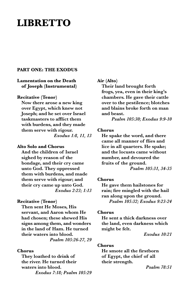# **LIBRETTO**

#### **PART ONE: THE EXODUS**

#### **Lamentation on the Death of Joseph (Instrumental)**

#### **Recitative (Tenor)**

**Now there arose a new king over Egypt, which knew not Joseph; and he set over Israel taskmasters to afflict them with burdens, and they made them serve with rigour.**  *Exodus 1:8, 11, 13*

#### **Alto Solo and Chorus**

**And the children of Israel sighed by reason of the bondage, and their cry came unto God. They oppressed them with burdens, and made them serve with rigour; and their cry came up unto God.**  *Exodus 2:23; 1:13*

#### **Recitative (Tenor)**

**Then sent He Moses, His servant, and Aaron whom He had chosen; these shewed His signs among them, and wonders in the land of Ham. He turned their waters into blood.**  *Psalm 105:26-27, 29*

#### **Chorus**

**They loathed to drink of the river. He turned their waters into blood.**  *Exodus 7:18; Psalm 105:29*

#### **Air (Alto)**

**Their land brought forth frogs, yea, even in their king's chambers. He gave their cattle over to the pestilence; blotches and blains broke forth on man and beast.**

*Psalm 105:30; Exodus 9:9-10* 

#### **Chorus**

**He spake the word, and there came all manner of flies and lice in all quarters. He spake; and the locusts came without number, and devoured the fruits of the ground.**  *Psalm 105:31, 34-35*

#### **Chorus**

**He gave them hailstones for rain; fire mingled with the hail ran along upon the ground.**  *Psalm 105:32; Exodus 9:23-24* 

#### **Chorus**

**He sent a thick darkness over the land, even darkness which might be felt.** 

*Exodus 10:21* 

#### **Chorus**

**He smote all the firstborn of Egypt, the chief of all their strength.** 

*Psalm 78:51*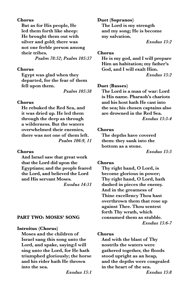#### **Chorus**

**But as for His people, He led them forth like sheep: He brought them out with silver and gold; there was not one feeble person among their tribes.**  *Psalm 78:52; Psalm 105:37*

#### **Chorus**

**Egypt was glad when they departed, for the fear of them fell upon them.** 

*Psalm 105:38*

#### **Chorus**

**He rebuked the Red Sea, and it was dried up. He led them through the deep as through a wilderness. But the waters overwhelmed their enemies, there was not one of them left.** *Psalm 106:9, 11*

#### **Chorus**

**And Israel saw that great work that the Lord did upon the Egyptians; and the people feared the Lord, and believed the Lord and His servant Moses.** *Exodus 14:31* 

#### **PART TWO: MOSES' SONG**

#### **Introitus (Chorus)**

**Moses and the children of Israel sang this song unto the Lord, and spake, saying:I will sing unto the Lord, for He hath triumphed gloriously; the horse and his rider hath He thrown into the sea.**

*Exodus 15:1*

**Duet (Sopranos) The Lord is my strength and my song; He is become my salvation.** 

## *Exodus 15:2*

#### **Chorus**

**He is my god, and I will prepare Him an habitation; my father's God, and I will exalt Him.**  *Exodus 15:2* 

#### **Duet (Basses)**

**The Lord is a man of war: Lord is His name. Pharaoh's chariots and his host hath He cast into the sea; his chosen captains also are drowned in the Red Sea.**  *Exodus 15:3-4* 

#### **Chorus**

**The depths have covered them: they sank into the bottom as a stone.** 

*Exodus 15:5* 

#### **Chorus**

**Thy right hand, O Lord, is become glorious in power; Thy right hand, O Lord, hath dashed in pieces the enemy. And in the greatness of Thine excellency Thou hast overthrown them that rose up against Thee. Thou sentest forth Thy wrath, which consumed them as stubble.**  *Exodus 15:6-7*

#### **Chorus**

**And with the blast of Thy nostrils the waters were gathered together, the floods stood upright as an heap, and the depths were congealed in the heart of the sea.**  *Exodus 15:8*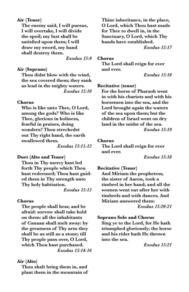#### **Air (Tenor)**

**The enemy said, I will pursue, I will overtake, I will divide the spoil; my lust shall be satisfied upon them; I will draw my sword, my hand shall destroy them.** 

*Exodus 15:9*

#### **Air (Soprano)**

**Thou didst blow with the wind, the sea covered them; they sank as lead in the mighty waters.** *Exodus 15:10* 

#### **Chorus**

**Who is like unto Thee, O Lord, among the gods? Who is like Thee, glorious in holiness, fearful in praises, doing wonders? Thou strechedst out Thy right hand, the earth swallowed them.** 

*Exodus 15:11-12* 

#### **Duet (Alto and Tenor)**

**Thou in Thy mercy hast led forth Thy people which Thou hast redeemed; Thou hast guided them in Thy strength unto Thy holy habitation.**

*Exodus 15:13*

#### **Chorus**

**The people shall hear, and be afraid: sorrow shall take hold on them: all the inhabitants of Canaan shall melt away: by the greatness of Thy arm they shall be as still as a stone; till Thy people pass over, O Lord, which Thou hast purchased.**  *Exodus 15:14-16* 

#### **Air (Alto)**

**Thou shalt bring them in, and plant them in the mountain of**  **Thine inheritance, in the place, O Lord, which Thou hast made for Thee to dwell in, in the Sanctuary, O Lord, which Thy hands have established.** *Exodus 15:17* 

#### **Chorus**

**The Lord shall reign for ever and ever.**

*Exodus 15:18*

#### **Recitative (tenor)**

**For the horse of Pharaoh went in with his chariots and with his horsemen into the sea, and the Lord brought again the waters of the sea upon them; but the children of Israel went on dry land in the midst of the sea.**  *Exodus 15:19*

#### **Chorus**

**The Lord shall reign for ever and ever.**

*Exodus 15:18*

#### **Recitative (Tenor)**

**And Miriam the prophetess, the sister of Aaron, took a timbrel in her hand; and all the women went out after her with timbrels and with dances. And Miriam answered them:** *Exodus 15:20-21*

#### **Soprano Solo and Chorus**

**Sing ye to the Lord, for He hath triumphed gloriously; the horse and his rider hath He thrown into the sea.**

*Exodus 15:21*